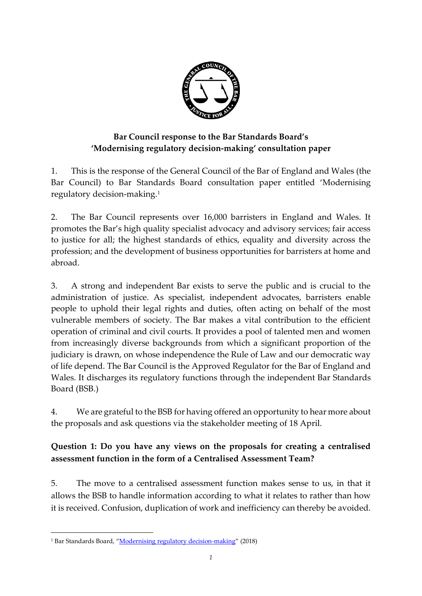

## **Bar Council response to the Bar Standards Board's 'Modernising regulatory decision-making' consultation paper**

1. This is the response of the General Council of the Bar of England and Wales (the Bar Council) to Bar Standards Board consultation paper entitled 'Modernising regulatory decision-making. 1

2. The Bar Council represents over 16,000 barristers in England and Wales. It promotes the Bar's high quality specialist advocacy and advisory services; fair access to justice for all; the highest standards of ethics, equality and diversity across the profession; and the development of business opportunities for barristers at home and abroad.

3. A strong and independent Bar exists to serve the public and is crucial to the administration of justice. As specialist, independent advocates, barristers enable people to uphold their legal rights and duties, often acting on behalf of the most vulnerable members of society. The Bar makes a vital contribution to the efficient operation of criminal and civil courts. It provides a pool of talented men and women from increasingly diverse backgrounds from which a significant proportion of the judiciary is drawn, on whose independence the Rule of Law and our democratic way of life depend. The Bar Council is the Approved Regulator for the Bar of England and Wales. It discharges its regulatory functions through the independent Bar Standards Board (BSB.)

4. We are grateful to the BSB for having offered an opportunity to hear more about the proposals and ask questions via the stakeholder meeting of 18 April.

# **Question 1: Do you have any views on the proposals for creating a centralised assessment function in the form of a Centralised Assessment Team?**

5. The move to a centralised assessment function makes sense to us, in that it allows the BSB to handle information according to what it relates to rather than how it is received. Confusion, duplication of work and inefficiency can thereby be avoided.

<sup>&</sup>lt;sup>1</sup> Bar Standards Board, "[Modernising regulatory decision-making](http://www.barstandardsboard.org.uk/media/1924546/modernising_regulatory_decision_making_-_consultation_paper.pdf)" (2018)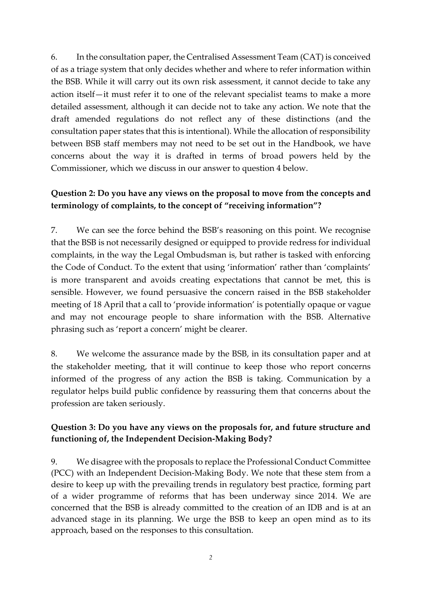6. In the consultation paper, the Centralised Assessment Team (CAT) is conceived of as a triage system that only decides whether and where to refer information within the BSB. While it will carry out its own risk assessment, it cannot decide to take any action itself—it must refer it to one of the relevant specialist teams to make a more detailed assessment, although it can decide not to take any action. We note that the draft amended regulations do not reflect any of these distinctions (and the consultation paper states that this is intentional). While the allocation of responsibility between BSB staff members may not need to be set out in the Handbook, we have concerns about the way it is drafted in terms of broad powers held by the Commissioner, which we discuss in our answer to question 4 below.

# **Question 2: Do you have any views on the proposal to move from the concepts and terminology of complaints, to the concept of "receiving information"?**

7. We can see the force behind the BSB's reasoning on this point. We recognise that the BSB is not necessarily designed or equipped to provide redress for individual complaints, in the way the Legal Ombudsman is, but rather is tasked with enforcing the Code of Conduct. To the extent that using 'information' rather than 'complaints' is more transparent and avoids creating expectations that cannot be met, this is sensible. However, we found persuasive the concern raised in the BSB stakeholder meeting of 18 April that a call to 'provide information' is potentially opaque or vague and may not encourage people to share information with the BSB. Alternative phrasing such as 'report a concern' might be clearer.

8. We welcome the assurance made by the BSB, in its consultation paper and at the stakeholder meeting, that it will continue to keep those who report concerns informed of the progress of any action the BSB is taking. Communication by a regulator helps build public confidence by reassuring them that concerns about the profession are taken seriously.

#### **Question 3: Do you have any views on the proposals for, and future structure and functioning of, the Independent Decision-Making Body?**

9. We disagree with the proposals to replace the Professional Conduct Committee (PCC) with an Independent Decision-Making Body. We note that these stem from a desire to keep up with the prevailing trends in regulatory best practice, forming part of a wider programme of reforms that has been underway since 2014. We are concerned that the BSB is already committed to the creation of an IDB and is at an advanced stage in its planning. We urge the BSB to keep an open mind as to its approach, based on the responses to this consultation.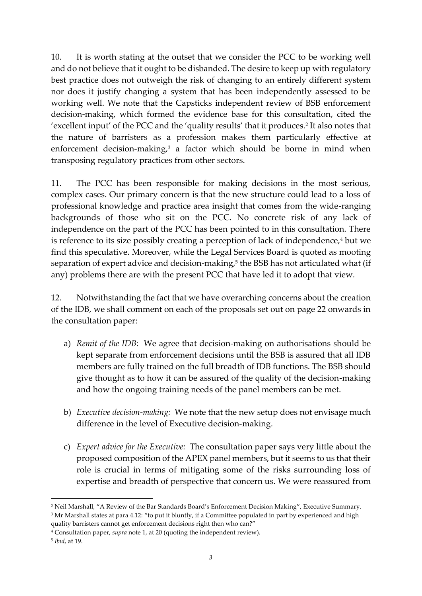10. It is worth stating at the outset that we consider the PCC to be working well and do not believe that it ought to be disbanded. The desire to keep up with regulatory best practice does not outweigh the risk of changing to an entirely different system nor does it justify changing a system that has been independently assessed to be working well. We note that the Capsticks independent review of BSB enforcement decision-making, which formed the evidence base for this consultation, cited the 'excellent input' of the PCC and the 'quality results' that it produces.<sup>2</sup> It also notes that the nature of barristers as a profession makes them particularly effective at enforcement decision-making,<sup>3</sup> a factor which should be borne in mind when transposing regulatory practices from other sectors.

11. The PCC has been responsible for making decisions in the most serious, complex cases. Our primary concern is that the new structure could lead to a loss of professional knowledge and practice area insight that comes from the wide-ranging backgrounds of those who sit on the PCC. No concrete risk of any lack of independence on the part of the PCC has been pointed to in this consultation. There is reference to its size possibly creating a perception of lack of independence,<sup>4</sup> but we find this speculative. Moreover, while the Legal Services Board is quoted as mooting separation of expert advice and decision-making,<sup>5</sup> the BSB has not articulated what (if any) problems there are with the present PCC that have led it to adopt that view.

12. Notwithstanding the fact that we have overarching concerns about the creation of the IDB, we shall comment on each of the proposals set out on page 22 onwards in the consultation paper:

- a) *Remit of the IDB*: We agree that decision-making on authorisations should be kept separate from enforcement decisions until the BSB is assured that all IDB members are fully trained on the full breadth of IDB functions. The BSB should give thought as to how it can be assured of the quality of the decision-making and how the ongoing training needs of the panel members can be met.
- b) *Executive decision-making:* We note that the new setup does not envisage much difference in the level of Executive decision-making.
- c) *Expert advice for the Executive:* The consultation paper says very little about the proposed composition of the APEX panel members, but it seems to us that their role is crucial in terms of mitigating some of the risks surrounding loss of expertise and breadth of perspective that concern us. We were reassured from

<sup>3</sup> Mr Marshall states at para 4.12: "to put it bluntly, if a Committee populated in part by experienced and high quality barristers cannot get enforcement decisions right then who can?"

**.** 

<sup>2</sup> Neil Marshall, "A Review of the Bar Standards Board's Enforcement Decision Making", Executive Summary.

<sup>4</sup> Consultation paper, *supra* note 1, at 20 (quoting the independent review).

<sup>5</sup> *Ibid*, at 19.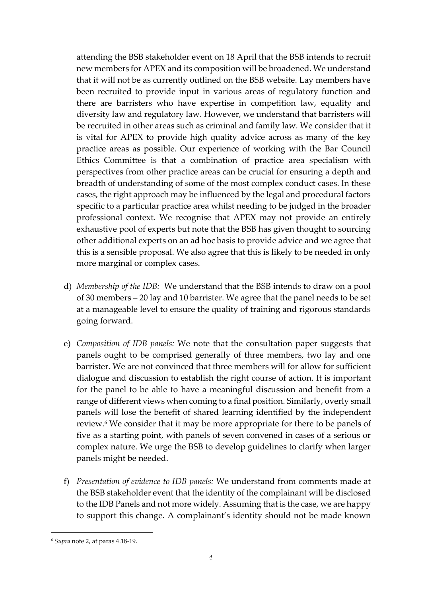attending the BSB stakeholder event on 18 April that the BSB intends to recruit new members for APEX and its composition will be broadened. We understand that it will not be as currently outlined on the BSB website. Lay members have been recruited to provide input in various areas of regulatory function and there are barristers who have expertise in competition law, equality and diversity law and regulatory law. However, we understand that barristers will be recruited in other areas such as criminal and family law. We consider that it is vital for APEX to provide high quality advice across as many of the key practice areas as possible. Our experience of working with the Bar Council Ethics Committee is that a combination of practice area specialism with perspectives from other practice areas can be crucial for ensuring a depth and breadth of understanding of some of the most complex conduct cases. In these cases, the right approach may be influenced by the legal and procedural factors specific to a particular practice area whilst needing to be judged in the broader professional context. We recognise that APEX may not provide an entirely exhaustive pool of experts but note that the BSB has given thought to sourcing other additional experts on an ad hoc basis to provide advice and we agree that this is a sensible proposal. We also agree that this is likely to be needed in only more marginal or complex cases.

- d) *Membership of the IDB:* We understand that the BSB intends to draw on a pool of 30 members – 20 lay and 10 barrister. We agree that the panel needs to be set at a manageable level to ensure the quality of training and rigorous standards going forward.
- e) *Composition of IDB panels:* We note that the consultation paper suggests that panels ought to be comprised generally of three members, two lay and one barrister. We are not convinced that three members will for allow for sufficient dialogue and discussion to establish the right course of action. It is important for the panel to be able to have a meaningful discussion and benefit from a range of different views when coming to a final position. Similarly, overly small panels will lose the benefit of shared learning identified by the independent review.<sup>6</sup> We consider that it may be more appropriate for there to be panels of five as a starting point, with panels of seven convened in cases of a serious or complex nature. We urge the BSB to develop guidelines to clarify when larger panels might be needed.
- f) *Presentation of evidence to IDB panels:* We understand from comments made at the BSB stakeholder event that the identity of the complainant will be disclosed to the IDB Panels and not more widely. Assuming that is the case, we are happy to support this change. A complainant's identity should not be made known

<sup>6</sup> *Supra* note 2, at paras 4.18-19.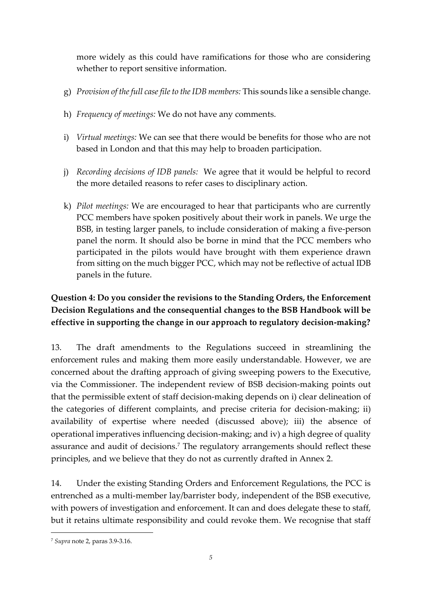more widely as this could have ramifications for those who are considering whether to report sensitive information.

- g) *Provision of the full case file to the IDB members:* This sounds like a sensible change.
- h) *Frequency of meetings:* We do not have any comments.
- i) *Virtual meetings:* We can see that there would be benefits for those who are not based in London and that this may help to broaden participation.
- j) *Recording decisions of IDB panels:* We agree that it would be helpful to record the more detailed reasons to refer cases to disciplinary action.
- k) *Pilot meetings:* We are encouraged to hear that participants who are currently PCC members have spoken positively about their work in panels. We urge the BSB, in testing larger panels, to include consideration of making a five-person panel the norm. It should also be borne in mind that the PCC members who participated in the pilots would have brought with them experience drawn from sitting on the much bigger PCC, which may not be reflective of actual IDB panels in the future.

# **Question 4: Do you consider the revisions to the Standing Orders, the Enforcement Decision Regulations and the consequential changes to the BSB Handbook will be effective in supporting the change in our approach to regulatory decision-making?**

13. The draft amendments to the Regulations succeed in streamlining the enforcement rules and making them more easily understandable. However, we are concerned about the drafting approach of giving sweeping powers to the Executive, via the Commissioner. The independent review of BSB decision-making points out that the permissible extent of staff decision-making depends on i) clear delineation of the categories of different complaints, and precise criteria for decision-making; ii) availability of expertise where needed (discussed above); iii) the absence of operational imperatives influencing decision-making; and iv) a high degree of quality assurance and audit of decisions. <sup>7</sup> The regulatory arrangements should reflect these principles, and we believe that they do not as currently drafted in Annex 2.

14. Under the existing Standing Orders and Enforcement Regulations, the PCC is entrenched as a multi-member lay/barrister body, independent of the BSB executive, with powers of investigation and enforcement. It can and does delegate these to staff, but it retains ultimate responsibility and could revoke them. We recognise that staff

<sup>7</sup> *Supra* note 2, paras 3.9-3.16.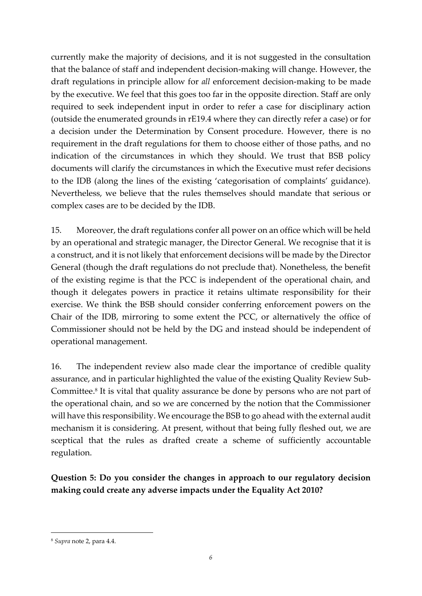currently make the majority of decisions, and it is not suggested in the consultation that the balance of staff and independent decision-making will change. However, the draft regulations in principle allow for *all* enforcement decision-making to be made by the executive. We feel that this goes too far in the opposite direction. Staff are only required to seek independent input in order to refer a case for disciplinary action (outside the enumerated grounds in rE19.4 where they can directly refer a case) or for a decision under the Determination by Consent procedure. However, there is no requirement in the draft regulations for them to choose either of those paths, and no indication of the circumstances in which they should. We trust that BSB policy documents will clarify the circumstances in which the Executive must refer decisions to the IDB (along the lines of the existing 'categorisation of complaints' guidance). Nevertheless, we believe that the rules themselves should mandate that serious or complex cases are to be decided by the IDB.

15. Moreover, the draft regulations confer all power on an office which will be held by an operational and strategic manager, the Director General. We recognise that it is a construct, and it is not likely that enforcement decisions will be made by the Director General (though the draft regulations do not preclude that). Nonetheless, the benefit of the existing regime is that the PCC is independent of the operational chain, and though it delegates powers in practice it retains ultimate responsibility for their exercise. We think the BSB should consider conferring enforcement powers on the Chair of the IDB, mirroring to some extent the PCC, or alternatively the office of Commissioner should not be held by the DG and instead should be independent of operational management.

16. The independent review also made clear the importance of credible quality assurance, and in particular highlighted the value of the existing Quality Review Sub-Committee. 8 It is vital that quality assurance be done by persons who are not part of the operational chain, and so we are concerned by the notion that the Commissioner will have this responsibility. We encourage the BSB to go ahead with the external audit mechanism it is considering. At present, without that being fully fleshed out, we are sceptical that the rules as drafted create a scheme of sufficiently accountable regulation.

**Question 5: Do you consider the changes in approach to our regulatory decision making could create any adverse impacts under the Equality Act 2010?**

<sup>8</sup> *Supra* note 2, para 4.4.